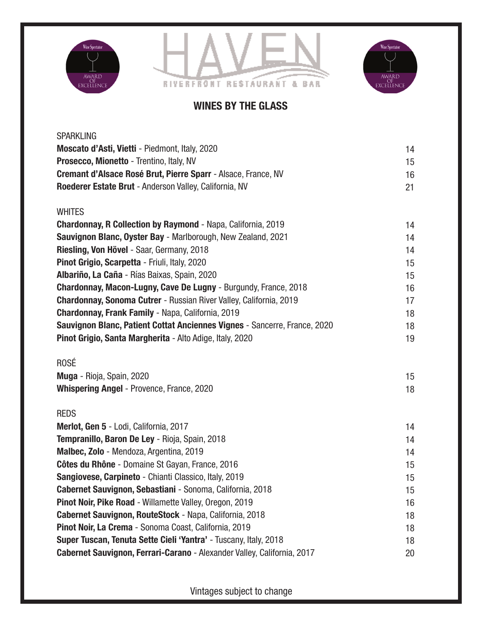





## WINES BY THE GLASS

| <b>SPARKLING</b>                                                          |    |
|---------------------------------------------------------------------------|----|
| Moscato d'Asti, Vietti - Piedmont, Italy, 2020                            | 14 |
| Prosecco, Mionetto - Trentino, Italy, NV                                  | 15 |
| Cremant d'Alsace Rosé Brut, Pierre Sparr - Alsace, France, NV             | 16 |
| Roederer Estate Brut - Anderson Valley, California, NV                    | 21 |
| <b>WHITES</b>                                                             |    |
| <b>Chardonnay, R Collection by Raymond - Napa, California, 2019</b>       | 14 |
| Sauvignon Blanc, Oyster Bay - Marlborough, New Zealand, 2021              | 14 |
| Riesling, Von Hövel - Saar, Germany, 2018                                 | 14 |
| Pinot Grigio, Scarpetta - Friuli, Italy, 2020                             | 15 |
| Albariño, La Caña - Rías Baixas, Spain, 2020                              | 15 |
| Chardonnay, Macon-Lugny, Cave De Lugny - Burgundy, France, 2018           | 16 |
| Chardonnay, Sonoma Cutrer - Russian River Valley, California, 2019        | 17 |
| <b>Chardonnay, Frank Family - Napa, California, 2019</b>                  | 18 |
| Sauvignon Blanc, Patient Cottat Anciennes Vignes - Sancerre, France, 2020 | 18 |
| Pinot Grigio, Santa Margherita - Alto Adige, Italy, 2020                  | 19 |
| <b>ROSÉ</b>                                                               |    |
| Muga - Rioja, Spain, 2020                                                 | 15 |
| <b>Whispering Angel - Provence, France, 2020</b>                          | 18 |
| <b>REDS</b>                                                               |    |
| Merlot, Gen 5 - Lodi, California, 2017                                    | 14 |
| Tempranillo, Baron De Ley - Rioja, Spain, 2018                            | 14 |
| Malbec, Zolo - Mendoza, Argentina, 2019                                   | 14 |
| Côtes du Rhône - Domaine St Gayan, France, 2016                           | 15 |
| Sangiovese, Carpineto - Chianti Classico, Italy, 2019                     | 15 |
| Cabernet Sauvignon, Sebastiani - Sonoma, California, 2018                 | 15 |
| Pinot Noir, Pike Road - Willamette Valley, Oregon, 2019                   | 16 |
| Cabernet Sauvignon, RouteStock - Napa, California, 2018                   | 18 |
| Pinot Noir, La Crema - Sonoma Coast, California, 2019                     | 18 |
| Super Tuscan, Tenuta Sette Cieli 'Yantra' - Tuscany, Italy, 2018          | 18 |
|                                                                           |    |

Vintages subject to change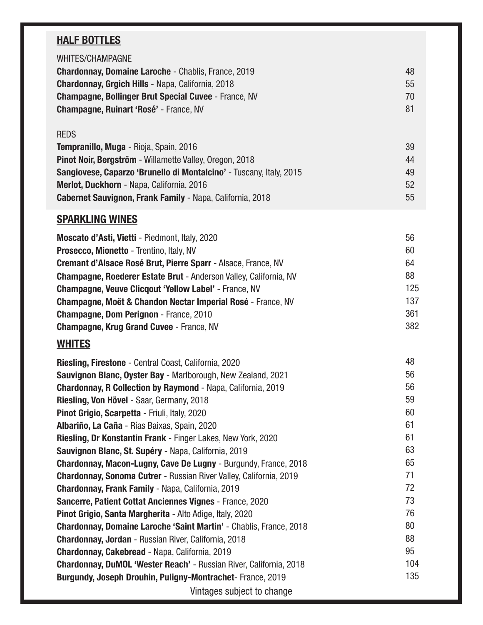## HALF BOTTLES

| <b>WHITES/CHAMPAGNE</b>                                     |    |
|-------------------------------------------------------------|----|
| <b>Chardonnay, Domaine Laroche - Chablis, France, 2019</b>  | 48 |
| <b>Chardonnay, Grgich Hills - Napa, California, 2018</b>    | 55 |
| <b>Champagne, Bollinger Brut Special Cuvee - France, NV</b> | 70 |
| <b>Champagne, Ruinart 'Rosé' - France, NV</b>               | 81 |
|                                                             |    |
| <b>REDS</b>                                                 |    |
| <b>Tempranillo, Muga - Rioja, Spain, 2016</b>               | 39 |
| Pinot Noir, Bergström - Willamette Valley, Oregon, 2018     | 44 |

| Pinot Noir, Bergström - Willamette Valley, Oregon, 2018             | 44 |
|---------------------------------------------------------------------|----|
| Sangiovese, Caparzo 'Brunello di Montalcino' - Tuscany, Italy, 2015 | 49 |
| Merlot, Duckhorn - Napa, California, 2016                           | 52 |
| <b>Cabernet Sauvignon, Frank Family - Napa, California, 2018</b>    | 55 |

## **SPARKLING WINES**

| Moscato d'Asti, Vietti - Piedmont, Italy, 2020                           | 56  |
|--------------------------------------------------------------------------|-----|
| <b>Prosecco, Mionetto - Trentino, Italy, NV</b>                          | 60  |
| Cremant d'Alsace Rosé Brut, Pierre Sparr - Alsace, France, NV            | 64  |
| <b>Champagne, Roederer Estate Brut - Anderson Valley, California, NV</b> | 88  |
| <b>Champagne, Veuve Clicgout 'Yellow Label' - France, NV</b>             | 125 |
| Champagne, Moët & Chandon Nectar Imperial Rosé - France, NV              | 137 |
| <b>Champagne, Dom Perignon</b> - France, 2010                            | 361 |
| <b>Champagne, Krug Grand Cuvee - France, NV</b>                          | 382 |
|                                                                          |     |

## **WHITES**

| <b>Riesling, Firestone</b> - Central Coast, California, 2020              | 48  |
|---------------------------------------------------------------------------|-----|
| Sauvignon Blanc, Oyster Bay - Marlborough, New Zealand, 2021              | 56  |
| <b>Chardonnay, R Collection by Raymond - Napa, California, 2019</b>       | 56  |
| Riesling, Von Hövel - Saar, Germany, 2018                                 | 59  |
| Pinot Grigio, Scarpetta - Friuli, Italy, 2020                             | 60  |
| Albariño, La Caña - Rías Baixas, Spain, 2020                              | 61  |
| <b>Riesling, Dr Konstantin Frank - Finger Lakes, New York, 2020</b>       | 61  |
| Sauvignon Blanc, St. Supéry - Napa, California, 2019                      | 63  |
| Chardonnay, Macon-Lugny, Cave De Lugny - Burgundy, France, 2018           | 65  |
| <b>Chardonnay, Sonoma Cutrer</b> - Russian River Valley, California, 2019 | 71  |
| <b>Chardonnay, Frank Family - Napa, California, 2019</b>                  | 72  |
| Sancerre, Patient Cottat Anciennes Vignes - France, 2020                  | 73  |
| Pinot Grigio, Santa Margherita - Alto Adige, Italy, 2020                  | 76  |
| <b>Chardonnay, Domaine Laroche 'Saint Martin' - Chablis, France, 2018</b> | 80  |
| <b>Chardonnay, Jordan</b> - Russian River, California, 2018               | 88  |
| <b>Chardonnay, Cakebread - Napa, California, 2019</b>                     | 95  |
| <b>Chardonnay, DuMOL 'Wester Reach' - Russian River, California, 2018</b> | 104 |
| Burgundy, Joseph Drouhin, Puligny-Montrachet-France, 2019                 | 135 |
| Vintages subject to change                                                |     |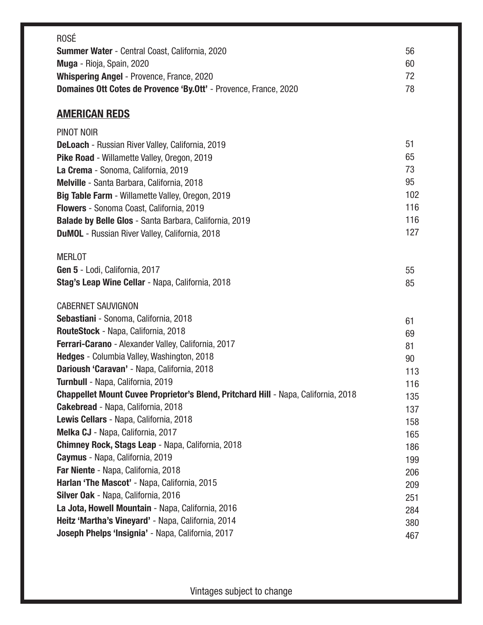| <b>ROSÉ</b>                                                                               |            |
|-------------------------------------------------------------------------------------------|------------|
| <b>Summer Water</b> - Central Coast, California, 2020                                     | 56         |
| Muga - Rioja, Spain, 2020                                                                 | 60         |
| <b>Whispering Angel - Provence, France, 2020</b>                                          | 72         |
| Domaines Ott Cotes de Provence 'By.Ott' - Provence, France, 2020                          | 78         |
|                                                                                           |            |
| <b>AMERICAN REDS</b>                                                                      |            |
| PINOT NOIR                                                                                |            |
| <b>DeLoach</b> - Russian River Valley, California, 2019                                   | 51         |
| Pike Road - Willamette Valley, Oregon, 2019                                               | 65         |
| La Crema - Sonoma, California, 2019                                                       | 73         |
| Melville - Santa Barbara, California, 2018                                                | 95         |
| Big Table Farm - Willamette Valley, Oregon, 2019                                          | 102        |
| Flowers - Sonoma Coast, California, 2019                                                  | 116<br>116 |
| <b>Balade by Belle Glos - Santa Barbara, California, 2019</b>                             | 127        |
| <b>DuMOL</b> - Russian River Valley, California, 2018                                     |            |
| <b>MERLOT</b>                                                                             |            |
| Gen 5 - Lodi, California, 2017                                                            | 55         |
| Stag's Leap Wine Cellar - Napa, California, 2018                                          | 85         |
|                                                                                           |            |
| <b>CABERNET SAUVIGNON</b>                                                                 |            |
| Sebastiani - Sonoma, California, 2018                                                     | 61         |
| RouteStock - Napa, California, 2018                                                       | 69         |
| Ferrari-Carano - Alexander Valley, California, 2017                                       | 81         |
| Hedges - Columbia Valley, Washington, 2018                                                | 90         |
| Darioush 'Caravan' - Napa, California, 2018                                               | 113        |
| Turnbull - Napa, California, 2019                                                         | 116        |
| <b>Chappellet Mount Cuvee Proprietor's Blend, Pritchard Hill - Napa, California, 2018</b> | 135        |
| <b>Cakebread</b> - Napa, California, 2018                                                 | 137        |
| Lewis Cellars - Napa, California, 2018                                                    | 158        |
| Melka CJ - Napa, California, 2017                                                         | 165        |
| Chimney Rock, Stags Leap - Napa, California, 2018                                         | 186        |
| Caymus - Napa, California, 2019                                                           | 199        |
| Far Niente - Napa, California, 2018                                                       | 206        |
| Harlan 'The Mascot' - Napa, California, 2015                                              | 209        |
| Silver Oak - Napa, California, 2016                                                       | 251        |
| La Jota, Howell Mountain - Napa, California, 2016                                         | 284        |
| Heitz 'Martha's Vineyard' - Napa, California, 2014                                        | 380        |
| Joseph Phelps 'Insignia' - Napa, California, 2017                                         | 467        |

Vintages subject to change